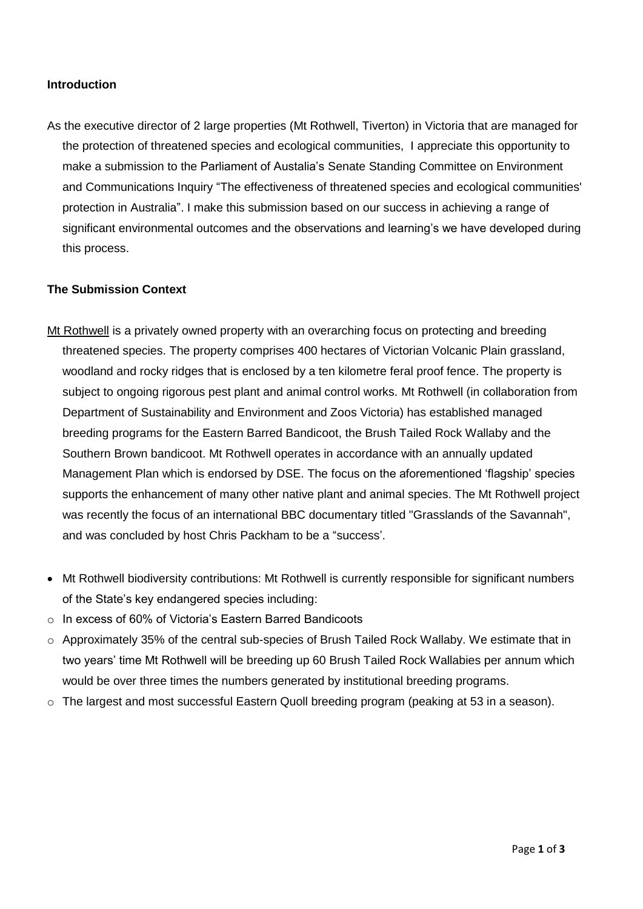## **Introduction**

As the executive director of 2 large properties (Mt Rothwell, Tiverton) in Victoria that are managed for the protection of threatened species and ecological communities, I appreciate this opportunity to make a submission to the Parliament of Austalia's Senate Standing Committee on Environment and Communications Inquiry "The effectiveness of threatened species and ecological communities' protection in Australia". I make this submission based on our success in achieving a range of significant environmental outcomes and the observations and learning's we have developed during this process.

## **The Submission Context**

- Mt Rothwell is a privately owned property with an overarching focus on protecting and breeding threatened species. The property comprises 400 hectares of Victorian Volcanic Plain grassland, woodland and rocky ridges that is enclosed by a ten kilometre feral proof fence. The property is subject to ongoing rigorous pest plant and animal control works. Mt Rothwell (in collaboration from Department of Sustainability and Environment and Zoos Victoria) has established managed breeding programs for the Eastern Barred Bandicoot, the Brush Tailed Rock Wallaby and the Southern Brown bandicoot. Mt Rothwell operates in accordance with an annually updated Management Plan which is endorsed by DSE. The focus on the aforementioned 'flagship' species supports the enhancement of many other native plant and animal species. The Mt Rothwell project was recently the focus of an international BBC documentary titled "Grasslands of the Savannah", and was concluded by host Chris Packham to be a "success'.
- Mt Rothwell biodiversity contributions: Mt Rothwell is currently responsible for significant numbers of the State's key endangered species including:
- o In excess of 60% of Victoria's Eastern Barred Bandicoots
- o Approximately 35% of the central sub-species of Brush Tailed Rock Wallaby. We estimate that in two years' time Mt Rothwell will be breeding up 60 Brush Tailed Rock Wallabies per annum which would be over three times the numbers generated by institutional breeding programs.
- $\circ$  The largest and most successful Eastern Quoll breeding program (peaking at 53 in a season).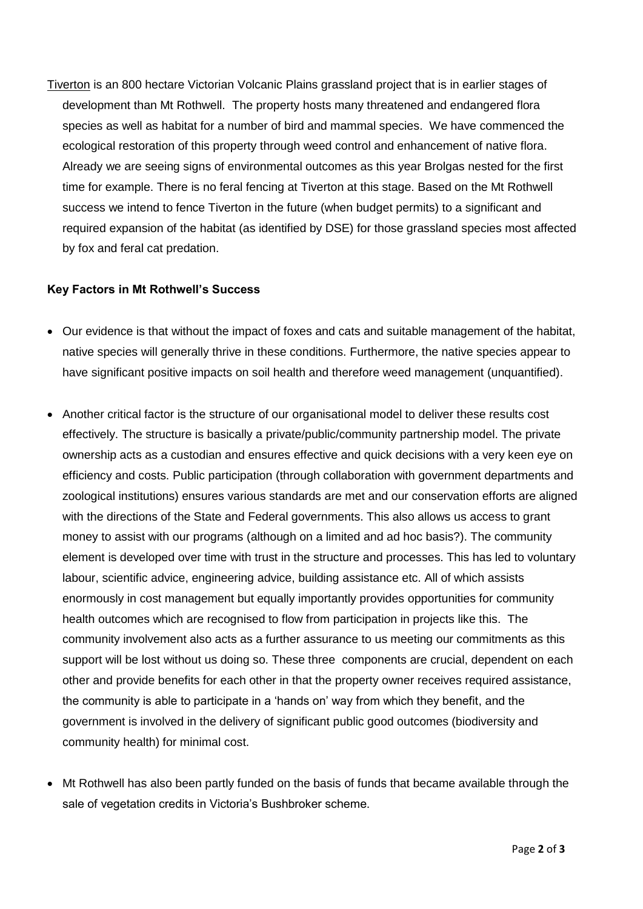Tiverton is an 800 hectare Victorian Volcanic Plains grassland project that is in earlier stages of development than Mt Rothwell. The property hosts many threatened and endangered flora species as well as habitat for a number of bird and mammal species. We have commenced the ecological restoration of this property through weed control and enhancement of native flora. Already we are seeing signs of environmental outcomes as this year Brolgas nested for the first time for example. There is no feral fencing at Tiverton at this stage. Based on the Mt Rothwell success we intend to fence Tiverton in the future (when budget permits) to a significant and required expansion of the habitat (as identified by DSE) for those grassland species most affected by fox and feral cat predation.

## **Key Factors in Mt Rothwell's Success**

- Our evidence is that without the impact of foxes and cats and suitable management of the habitat, native species will generally thrive in these conditions. Furthermore, the native species appear to have significant positive impacts on soil health and therefore weed management (unquantified).
- Another critical factor is the structure of our organisational model to deliver these results cost effectively. The structure is basically a private/public/community partnership model. The private ownership acts as a custodian and ensures effective and quick decisions with a very keen eye on efficiency and costs. Public participation (through collaboration with government departments and zoological institutions) ensures various standards are met and our conservation efforts are aligned with the directions of the State and Federal governments. This also allows us access to grant money to assist with our programs (although on a limited and ad hoc basis?). The community element is developed over time with trust in the structure and processes. This has led to voluntary labour, scientific advice, engineering advice, building assistance etc. All of which assists enormously in cost management but equally importantly provides opportunities for community health outcomes which are recognised to flow from participation in projects like this. The community involvement also acts as a further assurance to us meeting our commitments as this support will be lost without us doing so. These three components are crucial, dependent on each other and provide benefits for each other in that the property owner receives required assistance, the community is able to participate in a 'hands on' way from which they benefit, and the government is involved in the delivery of significant public good outcomes (biodiversity and community health) for minimal cost.
- Mt Rothwell has also been partly funded on the basis of funds that became available through the sale of vegetation credits in Victoria's Bushbroker scheme.